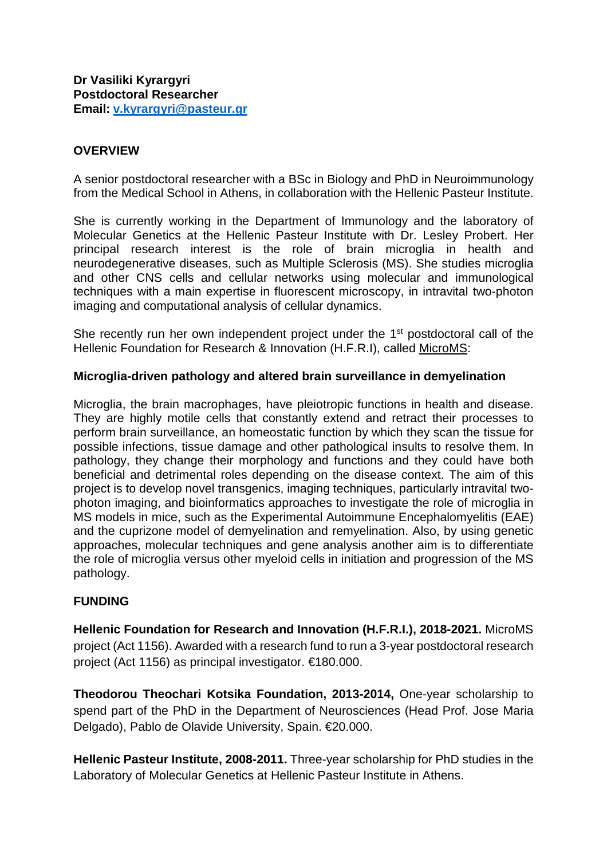## **OVERVIEW**

A senior postdoctoral researcher with a BSc in Biology and PhD in Neuroimmunology from the Medical School in Athens, in collaboration with the Hellenic Pasteur Institute.

She is currently working in the Department of Immunology and the laboratory of Molecular Genetics at the Hellenic Pasteur Institute with Dr. Lesley Probert. Her principal research interest is the role of brain microglia in health and neurodegenerative diseases, such as Multiple Sclerosis (MS). She studies microglia and other CNS cells and cellular networks using molecular and immunological techniques with a main expertise in fluorescent microscopy, in intravital two-photon imaging and computational analysis of cellular dynamics.

She recently run her own independent project under the 1<sup>st</sup> postdoctoral call of the Hellenic Foundation for Research & Innovation (H.F.R.I), called MicroMS:

#### **Microglia-driven pathology and altered brain surveillance in demyelination**

Microglia, the brain macrophages, have pleiotropic functions in health and disease. They are highly motile cells that constantly extend and retract their processes to perform brain surveillance, an homeostatic function by which they scan the tissue for possible infections, tissue damage and other pathological insults to resolve them. In pathology, they change their morphology and functions and they could have both beneficial and detrimental roles depending on the disease context. The aim of this project is to develop novel transgenics, imaging techniques, particularly intravital twophoton imaging, and bioinformatics approaches to investigate the role of microglia in MS models in mice, such as the Experimental Autoimmune Encephalomyelitis (EAE) and the cuprizone model of demyelination and remyelination. Also, by using genetic approaches, molecular techniques and gene analysis another aim is to differentiate the role of microglia versus other myeloid cells in initiation and progression of the MS pathology.

# **FUNDING**

**Hellenic Foundation for Research and Innovation (H.F.R.I.), 2018-2021.** MicroMS project (Act 1156). Awarded with a research fund to run a 3-year postdoctoral research project (Act 1156) as principal investigator. €180.000.

**Theodorou Theochari Kotsika Foundation, 2013-2014,** One-year scholarship to spend part of the PhD in the Department of Neurosciences (Head Prof. Jose Maria Delgado), Pablo de Olavide University, Spain. €20.000.

**Hellenic Pasteur Institute, 2008-2011.** Three-year scholarship for PhD studies in the Laboratory of Molecular Genetics at Hellenic Pasteur Institute in Athens.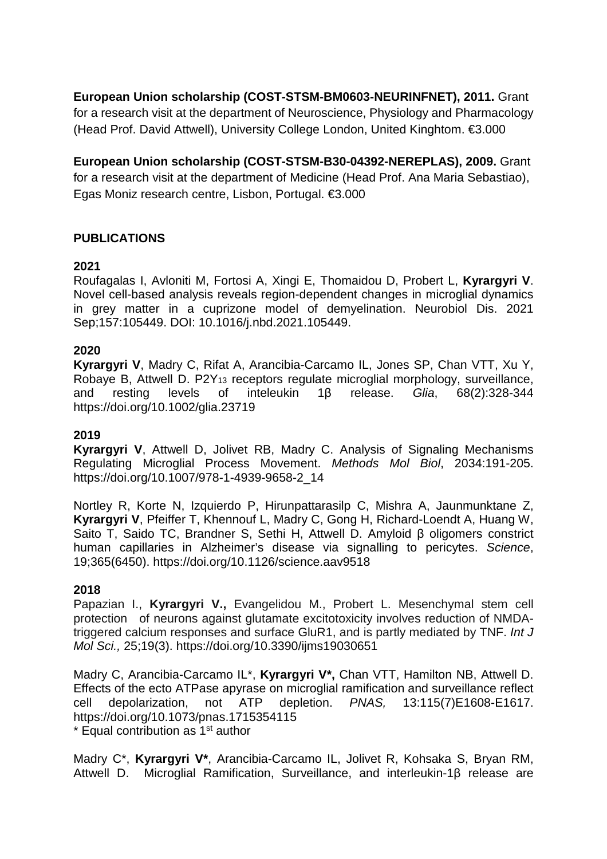**European Union scholarship (COST-STSM-BM0603-NEURINFNET), 2011.** Grant for a research visit at the department of Neuroscience, Physiology and Pharmacology (Head Prof. David Attwell), University College London, United Kinghtom. €3.000

**European Union scholarship (COST-STSM-B30-04392-NEREPLAS), 2009.** Grant for a research visit at the department of Medicine (Head Prof. Ana Maria Sebastiao), Egas Moniz research centre, Lisbon, Portugal. €3.000

## **PUBLICATIONS**

### **2021**

Roufagalas I, Avloniti M, Fortosi A, Xingi E, Thomaidou D, Probert L, **Kyrargyri V**. Novel cell-based analysis reveals region-dependent changes in microglial dynamics in grey matter in a cuprizone model of demyelination. Neurobiol Dis. 2021 Sep;157:105449. DOI: 10.1016/j.nbd.2021.105449.

#### **2020**

**Kyrargyri V**, Madry C, Rifat A, Arancibia-Carcamo IL, Jones SP, Chan VTT, Xu Y, Robaye B, Attwell D. P2Y<sub>13</sub> receptors regulate microglial morphology, surveillance, and resting levels of inteleukin 1 $\beta$  release. Glia. 68(2):328-344 and resting levels of inteleukin 1β release. *Glia*, 68(2):328-344 https://doi.org/10.1002/glia.23719

#### **2019**

**Kyrargyri V**, Attwell D, Jolivet RB, Madry C. Analysis of Signaling Mechanisms Regulating Microglial Process Movement. *Methods Mol Biol*, 2034:191-205. https://doi.org/10.1007/978-1-4939-9658-2\_14

Nortley R, Korte N, Izquierdo P, Hirunpattarasilp C, Mishra A, Jaunmunktane Z, **Kyrargyri V**, Pfeiffer T, Khennouf L, Madry C, Gong H, Richard-Loendt A, Huang W, Saito T, Saido TC, Brandner S, Sethi H, Attwell D. Amyloid β oligomers constrict human capillaries in Alzheimer's disease via signalling to pericytes. *Science*, 19;365(6450). https://doi.org/10.1126/science.aav9518

#### **2018**

Papazian I., **Kyrargyri V.,** Evangelidou M., Probert L. Mesenchymal stem cell protection of neurons against glutamate excitotoxicity involves reduction of NMDAtriggered calcium responses and surface GluR1, and is partly mediated by TNF. *Int J Mol Sci.,* 25;19(3). https://doi.org/10.3390/ijms19030651

Madry C, Arancibia-Carcamo IL\*, **Kyrargyri V\*,** Chan VTT, Hamilton NB, Attwell D. Effects of the ecto ATPase apyrase on microglial ramification and surveillance reflect cell depolarization, not ATP depletion. *PNAS,* 13:115(7)E1608-E1617. https://doi.org/10.1073/pnas.1715354115  $*$  Equal contribution as 1 $st$  author

Madry C\*, **Kyrargyri V\***, Arancibia-Carcamo IL, Jolivet R, Kohsaka S, Bryan RM, Attwell D. Microglial Ramification, Surveillance, and interleukin-1β release are